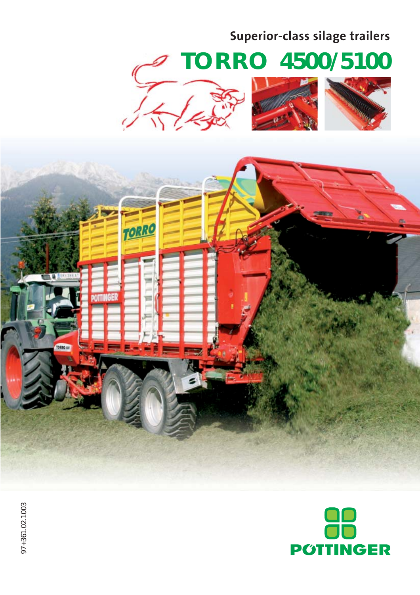### **Superior-class silage trailers**

# **TORRO** *4500/5100*











97+361.02.1003 97+361.02.1003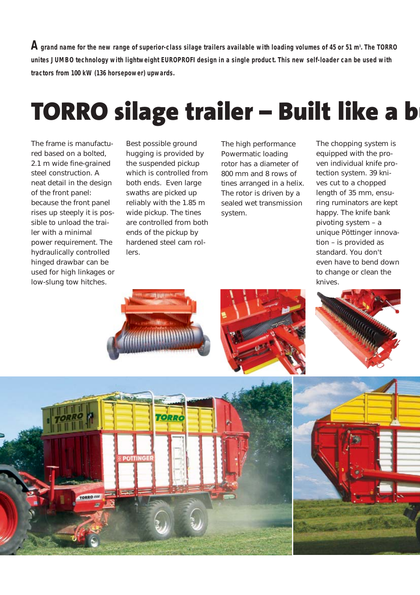${\mathbf A}$  grand name for the new range of superior-class silage trailers available with loading volumes of 45 or 51 m<sup>3</sup>. The TORRO **unites JUMBO technology with lightweight EUROPROFI design in a single product. This new self-loader can be used with tractors from 100 kW (136 horsepower) upwards.**

## **TORRO silage trailer – Built like a b**

The frame is manufactured based on a bolted, 2.1 m wide fine-grained steel construction. A neat detail in the design of the front panel: because the front panel rises up steeply it is possible to unload the trailer with a minimal power requirement. The hydraulically controlled hinged drawbar can be used for high linkages or low-slung tow hitches.

Best possible ground hugging is provided by the suspended pickup which is controlled from both ends. Even large swaths are picked up reliably with the 1.85 m wide pickup. The tines are controlled from both ends of the pickup by hardened steel cam rollers.

The high performance Powermatic loading rotor has a diameter of 800 mm and 8 rows of tines arranged in a helix. The rotor is driven by a sealed wet transmission system.

The chopping system is equipped with the proven individual knife protection system. 39 knives cut to a chopped length of 35 mm, ensuring ruminators are kept happy. The knife bank pivoting system – a unique Pöttinger innovation – is provided as standard. You don't even have to bend down to change or clean the knives.









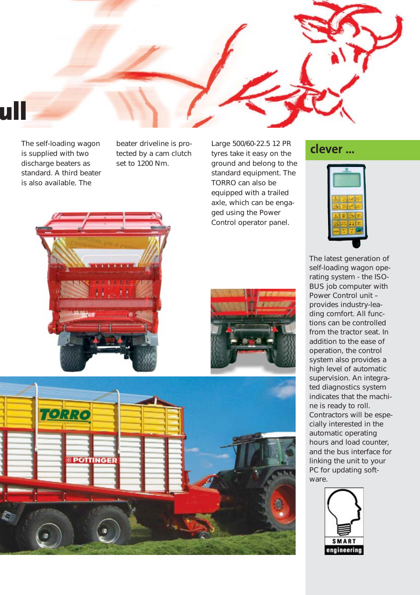

The self-loading wagon is supplied with two discharge beaters as standard. A third beater is also available. The

beater driveline is protected by a cam clutch set to 1200 Nm.

Large 500/60-22.5 12 PR tyres take it easy on the ground and belong to the standard equipment. The TORRO can also be equipped with a trailed axle, which can be engaged using the Power Control operator panel.

#### **clever …**



The latest generation of self-loading wagon operating system - the ISO-BUS job computer with Power Control unit – provides industry-leading comfort. All functions can be controlled from the tractor seat. In addition to the ease of operation, the control system also provides a high level of automatic supervision. An integrated diagnostics system indicates that the machine is ready to roll. Contractors will be especially interested in the automatic operating hours and load counter, and the bus interface for linking the unit to your PC for updating software.